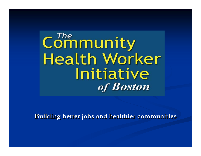Community **Health Worker** Initiative of **Boston** 

**Building better jobs and healthier communities Building better jobs and healthier communities**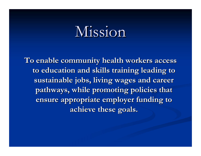## Mission

To enable community health workers access **to education and skills training leading to to education and skills training leading to**  sustainable jobs, living wages and career pathways, while promoting policies that **ensure appropriate employer funding to ensure appropriate employer funding to achieve these goals. achieve these goals.**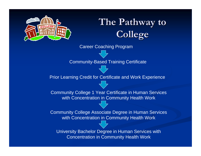

## **The Pathway to College College**

Career Coaching Program

Community-Based Training Certificate

Prior Learning Credit for Certificate and Work Experience

Community College 1 Year Certificate in Human Services with Concentration in Community Health Work

Community College Associate Degree in Human Services with Concentration in Community Health Work

University Bachelor Degree in Human Services with Concentration in Community Health Work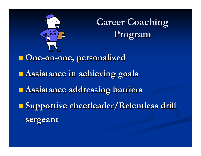

**Career Coaching Program Program**

 **One -on -one, personalized one, personalized Assistance in achieving goals Assistance in achieving goals Assistance addressing barriers Assistance addressing barriers Supportive cheerleader/Relentless drill sergeant sergeant**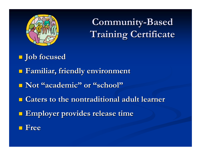

**Community Community-Based Training Certificate Training Certificate**

- **Job focused Job focused**
- **Familiar, friendly environment Familiar, friendly environment**
- $\blacksquare$  **Not "academic"** or "school"
- **Caters to the nontraditional adult learner Caters to the nontraditional adult learner**
- **Employer provides release time Employer provides release time**
- **Free**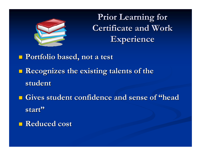

**Prior Learning for Certificate and Work Experience Experience**

 **Portfolio based, not a test Portfolio based, not a test Recognizes the existing talents of the student student <u>Example 1</u> Gives student confidence and sense of "head and sense" in Sense 1, 1986.** 

**start "**

**Reduced cost Reduced cost**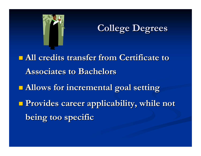

**College Degrees College Degrees**

**All credits transfer from Certificate to Associates to Bachelors Associates to Bachelors Allows for incremental goal setting Allows for incremental goal setting Provides career applicability, while not Provides career applicability, while not being too specific being too specific**